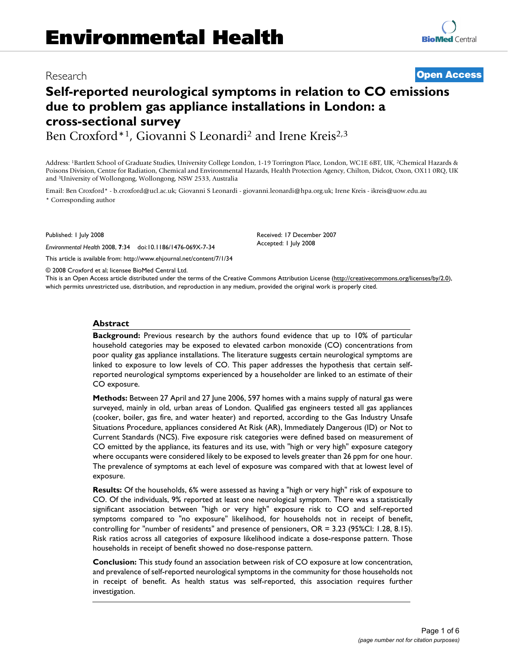## Research **[Open Access](http://www.biomedcentral.com/info/about/charter/)**

**[BioMed](http://www.biomedcentral.com/)** Central

# **Self-reported neurological symptoms in relation to CO emissions due to problem gas appliance installations in London: a cross-sectional survey**

Ben Croxford\*<sup>1</sup>, Giovanni S Leonardi<sup>2</sup> and Irene Kreis<sup>2,3</sup>

Address: 1Bartlett School of Graduate Studies, University College London, 1-19 Torrington Place, London, WC1E 6BT, UK, 2Chemical Hazards & Poisons Division, Centre for Radiation, Chemical and Environmental Hazards, Health Protection Agency, Chilton, Didcot, Oxon, OX11 0RQ, UK and 3University of Wollongong, Wollongong, NSW 2533, Australia

Email: Ben Croxford\* - b.croxford@ucl.ac.uk; Giovanni S Leonardi - giovanni.leonardi@hpa.org.uk; Irene Kreis - ikreis@uow.edu.au \* Corresponding author

Published: 1 July 2008

*Environmental Health* 2008, **7**:34 doi:10.1186/1476-069X-7-34

[This article is available from: http://www.ehjournal.net/content/7/1/34](http://www.ehjournal.net/content/7/1/34)

© 2008 Croxford et al; licensee BioMed Central Ltd.

This is an Open Access article distributed under the terms of the Creative Commons Attribution License [\(http://creativecommons.org/licenses/by/2.0\)](http://creativecommons.org/licenses/by/2.0), which permits unrestricted use, distribution, and reproduction in any medium, provided the original work is properly cited.

Received: 17 December 2007 Accepted: 1 July 2008

#### **Abstract**

**Background:** Previous research by the authors found evidence that up to 10% of particular household categories may be exposed to elevated carbon monoxide (CO) concentrations from poor quality gas appliance installations. The literature suggests certain neurological symptoms are linked to exposure to low levels of CO. This paper addresses the hypothesis that certain selfreported neurological symptoms experienced by a householder are linked to an estimate of their CO exposure.

**Methods:** Between 27 April and 27 June 2006, 597 homes with a mains supply of natural gas were surveyed, mainly in old, urban areas of London. Qualified gas engineers tested all gas appliances (cooker, boiler, gas fire, and water heater) and reported, according to the Gas Industry Unsafe Situations Procedure, appliances considered At Risk (AR), Immediately Dangerous (ID) or Not to Current Standards (NCS). Five exposure risk categories were defined based on measurement of CO emitted by the appliance, its features and its use, with "high or very high" exposure category where occupants were considered likely to be exposed to levels greater than 26 ppm for one hour. The prevalence of symptoms at each level of exposure was compared with that at lowest level of exposure.

**Results:** Of the households, 6% were assessed as having a "high or very high" risk of exposure to CO. Of the individuals, 9% reported at least one neurological symptom. There was a statistically significant association between "high or very high" exposure risk to CO and self-reported symptoms compared to "no exposure" likelihood, for households not in receipt of benefit, controlling for "number of residents" and presence of pensioners, OR = 3.23 (95%CI: 1.28, 8.15). Risk ratios across all categories of exposure likelihood indicate a dose-response pattern. Those households in receipt of benefit showed no dose-response pattern.

**Conclusion:** This study found an association between risk of CO exposure at low concentration, and prevalence of self-reported neurological symptoms in the community for those households not in receipt of benefit. As health status was self-reported, this association requires further investigation.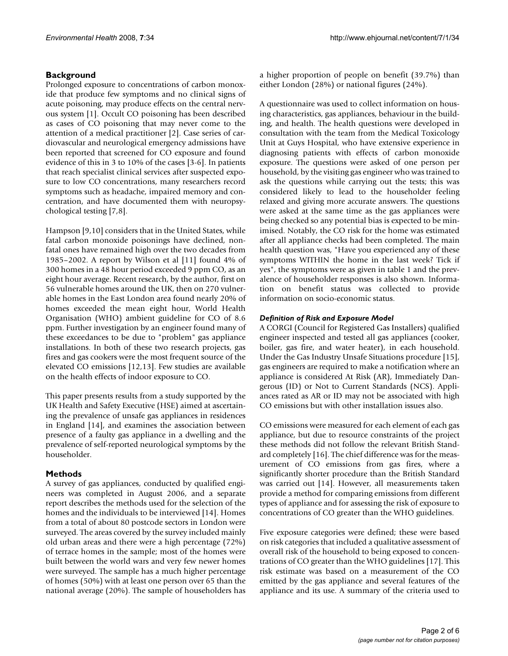### **Background**

Prolonged exposure to concentrations of carbon monoxide that produce few symptoms and no clinical signs of acute poisoning, may produce effects on the central nervous system [1]. Occult CO poisoning has been described as cases of CO poisoning that may never come to the attention of a medical practitioner [2]. Case series of cardiovascular and neurological emergency admissions have been reported that screened for CO exposure and found evidence of this in 3 to 10% of the cases [3-6]. In patients that reach specialist clinical services after suspected exposure to low CO concentrations, many researchers record symptoms such as headache, impaired memory and concentration, and have documented them with neuropsychological testing [7,8].

Hampson [9,10] considers that in the United States, while fatal carbon monoxide poisonings have declined, nonfatal ones have remained high over the two decades from 1985–2002. A report by Wilson et al [11] found 4% of 300 homes in a 48 hour period exceeded 9 ppm CO, as an eight hour average. Recent research, by the author, first on 56 vulnerable homes around the UK, then on 270 vulnerable homes in the East London area found nearly 20% of homes exceeded the mean eight hour, World Health Organisation (WHO) ambient guideline for CO of 8.6 ppm. Further investigation by an engineer found many of these exceedances to be due to "problem" gas appliance installations. In both of these two research projects, gas fires and gas cookers were the most frequent source of the elevated CO emissions [12,13]. Few studies are available on the health effects of indoor exposure to CO.

This paper presents results from a study supported by the UK Health and Safety Executive (HSE) aimed at ascertaining the prevalence of unsafe gas appliances in residences in England [14], and examines the association between presence of a faulty gas appliance in a dwelling and the prevalence of self-reported neurological symptoms by the householder.

### **Methods**

A survey of gas appliances, conducted by qualified engineers was completed in August 2006, and a separate report describes the methods used for the selection of the homes and the individuals to be interviewed [14]. Homes from a total of about 80 postcode sectors in London were surveyed. The areas covered by the survey included mainly old urban areas and there were a high percentage (72%) of terrace homes in the sample; most of the homes were built between the world wars and very few newer homes were surveyed. The sample has a much higher percentage of homes (50%) with at least one person over 65 than the national average (20%). The sample of householders has a higher proportion of people on benefit (39.7%) than either London (28%) or national figures (24%).

A questionnaire was used to collect information on housing characteristics, gas appliances, behaviour in the building, and health. The health questions were developed in consultation with the team from the Medical Toxicology Unit at Guys Hospital, who have extensive experience in diagnosing patients with effects of carbon monoxide exposure. The questions were asked of one person per household, by the visiting gas engineer who was trained to ask the questions while carrying out the tests; this was considered likely to lead to the householder feeling relaxed and giving more accurate answers. The questions were asked at the same time as the gas appliances were being checked so any potential bias is expected to be minimised. Notably, the CO risk for the home was estimated after all appliance checks had been completed. The main health question was, "Have you experienced any of these symptoms WITHIN the home in the last week? Tick if yes", the symptoms were as given in table 1 and the prevalence of householder responses is also shown. Information on benefit status was collected to provide information on socio-economic status.

#### *Definition of Risk and Exposure Model*

A CORGI (Council for Registered Gas Installers) qualified engineer inspected and tested all gas appliances (cooker, boiler, gas fire, and water heater), in each household. Under the Gas Industry Unsafe Situations procedure [15], gas engineers are required to make a notification where an appliance is considered At Risk (AR), Immediately Dangerous (ID) or Not to Current Standards (NCS). Appliances rated as AR or ID may not be associated with high CO emissions but with other installation issues also.

CO emissions were measured for each element of each gas appliance, but due to resource constraints of the project these methods did not follow the relevant British Standard completely [16]. The chief difference was for the measurement of CO emissions from gas fires, where a significantly shorter procedure than the British Standard was carried out [14]. However, all measurements taken provide a method for comparing emissions from different types of appliance and for assessing the risk of exposure to concentrations of CO greater than the WHO guidelines.

Five exposure categories were defined; these were based on risk categories that included a qualitative assessment of overall risk of the household to being exposed to concentrations of CO greater than the WHO guidelines [17]. This risk estimate was based on a measurement of the CO emitted by the gas appliance and several features of the appliance and its use. A summary of the criteria used to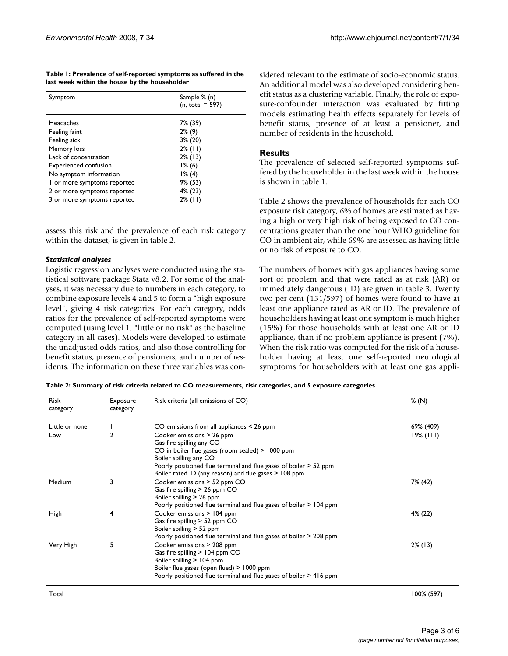| Table 1: Prevalence of self-reported symptoms as suffered in the |
|------------------------------------------------------------------|
| last week within the house by the householder                    |

| Symptom                     | Sample % (n)<br>$(n, total = 597)$ |
|-----------------------------|------------------------------------|
| Headaches                   | 7% (39)                            |
| Feeling faint               | $2\%$ (9)                          |
| Feeling sick                | $3\%$ (20)                         |
| Memory loss                 | $2\%$ (11)                         |
| Lack of concentration       | $2\%$ (13)                         |
| Experienced confusion       | $1\%$ (6)                          |
| No symptom information      | $1\%$ (4)                          |
| I or more symptoms reported | 9% (53)                            |
| 2 or more symptoms reported | 4% (23)                            |
| 3 or more symptoms reported | $2\%$ (11)                         |

assess this risk and the prevalence of each risk category within the dataset, is given in table 2.

#### *Statistical analyses*

Logistic regression analyses were conducted using the statistical software package Stata v8.2. For some of the analyses, it was necessary due to numbers in each category, to combine exposure levels 4 and 5 to form a "high exposure level", giving 4 risk categories. For each category, odds ratios for the prevalence of self-reported symptoms were computed (using level 1, "little or no risk" as the baseline category in all cases). Models were developed to estimate the unadjusted odds ratios, and also those controlling for benefit status, presence of pensioners, and number of residents. The information on these three variables was considered relevant to the estimate of socio-economic status. An additional model was also developed considering benefit status as a clustering variable. Finally, the role of exposure-confounder interaction was evaluated by fitting models estimating health effects separately for levels of benefit status, presence of at least a pensioner, and number of residents in the household.

#### **Results**

The prevalence of selected self-reported symptoms suffered by the householder in the last week within the house is shown in table 1.

Table 2 shows the prevalence of households for each CO exposure risk category, 6% of homes are estimated as having a high or very high risk of being exposed to CO concentrations greater than the one hour WHO guideline for CO in ambient air, while 69% are assessed as having little or no risk of exposure to CO.

The numbers of homes with gas appliances having some sort of problem and that were rated as at risk (AR) or immediately dangerous (ID) are given in table 3. Twenty two per cent (131/597) of homes were found to have at least one appliance rated as AR or ID. The prevalence of householders having at least one symptom is much higher (15%) for those households with at least one AR or ID appliance, than if no problem appliance is present (7%). When the risk ratio was computed for the risk of a householder having at least one self-reported neurological symptoms for householders with at least one gas appli-

**Table 2: Summary of risk criteria related to CO measurements, risk categories, and 5 exposure categories**

| <b>Risk</b><br>category | Exposure<br>category | Risk criteria (all emissions of CO)                                                                                                                                                                                                                               | % (N)        |
|-------------------------|----------------------|-------------------------------------------------------------------------------------------------------------------------------------------------------------------------------------------------------------------------------------------------------------------|--------------|
| Little or none          |                      | CO emissions from all appliances $\leq$ 26 ppm                                                                                                                                                                                                                    | 69% (409)    |
| Low                     |                      | Cooker emissions > 26 ppm<br>Gas fire spilling any CO<br>CO in boiler flue gases (room sealed) > 1000 ppm<br>Boiler spilling any CO<br>Poorly positioned flue terminal and flue gases of boiler > 52 ppm<br>Boiler rated ID (any reason) and flue gases > 108 ppm | $19\%$ (111) |
| Medium                  | 3                    | Cooker emissions > 52 ppm CO<br>Gas fire spilling > 26 ppm CO<br>Boiler spilling > 26 ppm<br>Poorly positioned flue terminal and flue gases of boiler > 104 ppm                                                                                                   | 7% (42)      |
| High                    | 4                    | Cooker emissions > 104 ppm<br>Gas fire spilling > 52 ppm CO<br>Boiler spilling > 52 ppm<br>Poorly positioned flue terminal and flue gases of boiler > 208 ppm                                                                                                     | 4% (22)      |
| Very High               | 5                    | Cooker emissions > 208 ppm<br>Gas fire spilling > 104 ppm CO<br>Boiler spilling > 104 ppm<br>Boiler flue gases (open flued) > 1000 ppm<br>Poorly positioned flue terminal and flue gases of boiler > 416 ppm                                                      | $2\%$ (13)   |
| Total                   |                      |                                                                                                                                                                                                                                                                   | 100% (597)   |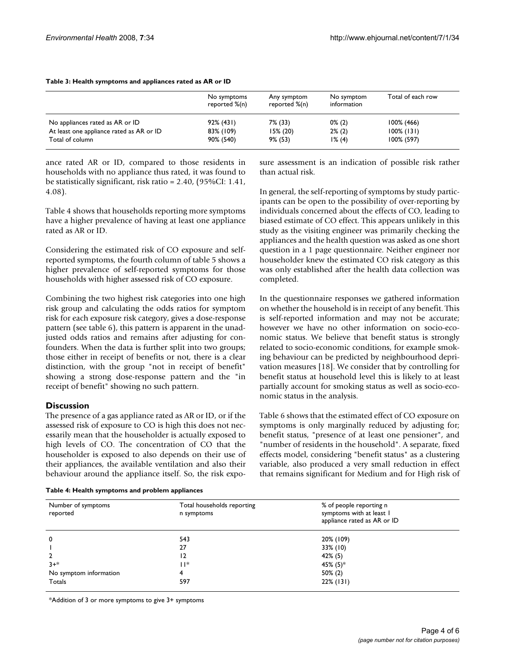#### No symptoms reported %(n) Any symptom reported %(n) No symptom information Total of each row No appliances rated as AR or ID 92% (431) 7% (33) 0% (2) 100% (466) At least one appliance rated as AR or ID 83% (109) 15% (20) 2% (2) 100% (131) Total of column 90% (540) 9% (53) 1% (4) 100% (597)

ance rated AR or ID, compared to those residents in households with no appliance thus rated, it was found to be statistically significant, risk ratio = 2.40, (95%CI: 1.41, 4.08).

**Table 3: Health symptoms and appliances rated as AR or ID**

Table 4 shows that households reporting more symptoms have a higher prevalence of having at least one appliance rated as AR or ID.

Considering the estimated risk of CO exposure and selfreported symptoms, the fourth column of table 5 shows a higher prevalence of self-reported symptoms for those households with higher assessed risk of CO exposure.

Combining the two highest risk categories into one high risk group and calculating the odds ratios for symptom risk for each exposure risk category, gives a dose-response pattern (see table 6), this pattern is apparent in the unadjusted odds ratios and remains after adjusting for confounders. When the data is further split into two groups; those either in receipt of benefits or not, there is a clear distinction, with the group "not in receipt of benefit" showing a strong dose-response pattern and the "in receipt of benefit" showing no such pattern.

### **Discussion**

The presence of a gas appliance rated as AR or ID, or if the assessed risk of exposure to CO is high this does not necessarily mean that the householder is actually exposed to high levels of CO. The concentration of CO that the householder is exposed to also depends on their use of their appliances, the available ventilation and also their behaviour around the appliance itself. So, the risk expo-

| Table 4: Health symptoms and problem appliances |  |  |
|-------------------------------------------------|--|--|
|                                                 |  |  |

sure assessment is an indication of possible risk rather than actual risk.

In general, the self-reporting of symptoms by study participants can be open to the possibility of over-reporting by individuals concerned about the effects of CO, leading to biased estimate of CO effect. This appears unlikely in this study as the visiting engineer was primarily checking the appliances and the health question was asked as one short question in a 1 page questionnaire. Neither engineer nor householder knew the estimated CO risk category as this was only established after the health data collection was completed.

In the questionnaire responses we gathered information on whether the household is in receipt of any benefit. This is self-reported information and may not be accurate; however we have no other information on socio-economic status. We believe that benefit status is strongly related to socio-economic conditions, for example smoking behaviour can be predicted by neighbourhood deprivation measures [18]. We consider that by controlling for benefit status at household level this is likely to at least partially account for smoking status as well as socio-economic status in the analysis.

Table 6 shows that the estimated effect of CO exposure on symptoms is only marginally reduced by adjusting for; benefit status, "presence of at least one pensioner", and "number of residents in the household". A separate, fixed effects model, considering "benefit status" as a clustering variable, also produced a very small reduction in effect that remains significant for Medium and for High risk of

| Number of symptoms<br>reported | Total households reporting<br>n symptoms | % of people reporting n<br>symptoms with at least I<br>appliance rated as AR or ID |
|--------------------------------|------------------------------------------|------------------------------------------------------------------------------------|
| 0                              | 543                                      | 20% (109)                                                                          |
|                                | 27                                       | 33% (10)                                                                           |
| $\overline{2}$                 | 12                                       | $42\%$ (5)                                                                         |
| $3 + *$                        | *                                        | 45% (5)*                                                                           |
| No symptom information         | 4                                        | $50\%(2)$                                                                          |
| Totals                         | 597                                      | $22\%$ (131)                                                                       |

\*Addition of 3 or more symptoms to give 3+ symptoms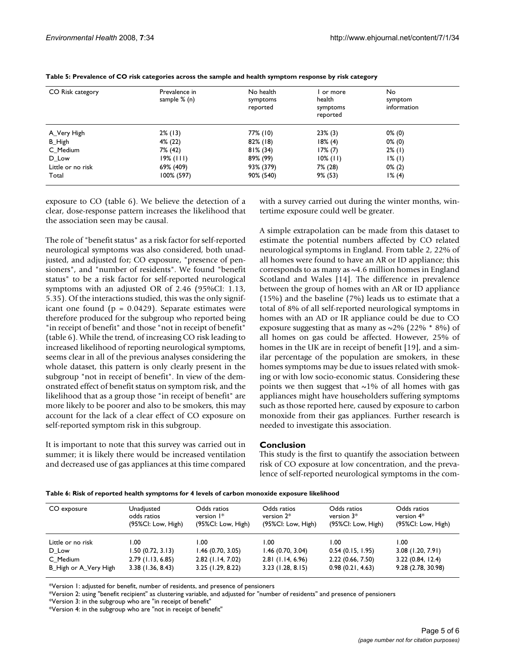| CO Risk category  | Prevalence in<br>sample $% (n)$ | No health<br>symptoms<br>reported | l or more<br>health<br>symptoms<br>reported | No.<br>symptom<br>information |
|-------------------|---------------------------------|-----------------------------------|---------------------------------------------|-------------------------------|
| A_Very High       | $2\%$ (13)                      | 77% (10)                          | $23\%$ (3)                                  | $0\%$ (0)                     |
| B_High            | 4% (22)                         | $82\%$ (18)                       | 18% (4)                                     | $0\%$ (0)                     |
| C Medium          | 7% (42)                         | $81\% (34)$                       | $17\% (7)$                                  | $2\%$ (1)                     |
| D_Low             | $19\%$ (111)                    | 89% (99)                          | $10\%$ (11)                                 | $1\%$ (1)                     |
| Little or no risk | 69% (409)                       | 93% (379)                         | 7% (28)                                     | $0\%$ (2)                     |
| Total             | 100% (597)                      | 90% (540)                         | $9\%$ (53)                                  | $1\%$ (4)                     |

| Table 5: Prevalence of CO risk categories across the sample and health symptom response by risk category |  |  |  |  |  |
|----------------------------------------------------------------------------------------------------------|--|--|--|--|--|
|----------------------------------------------------------------------------------------------------------|--|--|--|--|--|

exposure to CO (table 6). We believe the detection of a clear, dose-response pattern increases the likelihood that the association seen may be causal.

The role of "benefit status" as a risk factor for self-reported neurological symptoms was also considered, both unadjusted, and adjusted for; CO exposure, "presence of pensioners", and "number of residents". We found "benefit status" to be a risk factor for self-reported neurological symptoms with an adjusted OR of 2.46 (95%CI: 1.13, 5.35). Of the interactions studied, this was the only significant one found ( $p = 0.0429$ ). Separate estimates were therefore produced for the subgroup who reported being "in receipt of benefit" and those "not in receipt of benefit" (table 6). While the trend, of increasing CO risk leading to increased likelihood of reporting neurological symptoms, seems clear in all of the previous analyses considering the whole dataset, this pattern is only clearly present in the subgroup "not in receipt of benefit". In view of the demonstrated effect of benefit status on symptom risk, and the likelihood that as a group those "in receipt of benefit" are more likely to be poorer and also to be smokers, this may account for the lack of a clear effect of CO exposure on self-reported symptom risk in this subgroup.

It is important to note that this survey was carried out in summer; it is likely there would be increased ventilation and decreased use of gas appliances at this time compared with a survey carried out during the winter months, wintertime exposure could well be greater.

A simple extrapolation can be made from this dataset to estimate the potential numbers affected by CO related neurological symptoms in England. From table 2, 22% of all homes were found to have an AR or ID appliance; this corresponds to as many as  $\sim$  4.6 million homes in England Scotland and Wales [14]. The difference in prevalence between the group of homes with an AR or ID appliance (15%) and the baseline (7%) leads us to estimate that a total of 8% of all self-reported neurological symptoms in homes with an AD or IR appliance could be due to CO exposure suggesting that as many as  $\sim$ 2% (22%  $*$  8%) of all homes on gas could be affected. However, 25% of homes in the UK are in receipt of benefit [19], and a similar percentage of the population are smokers, in these homes symptoms may be due to issues related with smoking or with low socio-economic status. Considering these points we then suggest that  $\sim$ 1% of all homes with gas appliances might have householders suffering symptoms such as those reported here, caused by exposure to carbon monoxide from their gas appliances. Further research is needed to investigate this association.

#### **Conclusion**

This study is the first to quantify the association between risk of CO exposure at low concentration, and the prevalence of self-reported neurological symptoms in the com-

|  |  | Table 6: Risk of reported health symptoms for 4 levels of carbon monoxide exposure likelihood |  |
|--|--|-----------------------------------------------------------------------------------------------|--|
|  |  |                                                                                               |  |

| CO exposure           | Unadjusted<br>odds ratios<br>(95%CI: Low, High) | Odds ratios<br>version $I^*$<br>$(95\%Cl: Low, High)$ | Odds ratios<br>version $2^*$<br>(95%CI: Low, High) | Odds ratios<br>version $3*$<br>(95%Cl: Low, High) | Odds ratios<br>version $4*$<br>(95%CI: Low, High) |
|-----------------------|-------------------------------------------------|-------------------------------------------------------|----------------------------------------------------|---------------------------------------------------|---------------------------------------------------|
| Little or no risk     | 00. I                                           | I.OO                                                  | I .00                                              | 0.1                                               | 1.00                                              |
| D Low                 | 1.50(0.72, 3.13)                                | $1.46$ (0.70, 3.05)                                   | 1.46(0.70, 3.04)                                   | 0.54(0.15, 1.95)                                  | 3.08 (1.20, 7.91)                                 |
| C Medium              | $2.79$ (1.13, 6.85)                             | $2.82$ (1.14, 7.02)                                   | $2.81$ (1.14, 6.96)                                | 2.22 (0.66, 7.50)                                 | 3.22(0.84, 12.4)                                  |
| B_High or A_Very High | 3.38(1.36, 8.43)                                | $3.25$ (1.29, 8.22)                                   | $3.23$ (1.28, 8.15)                                | 0.98(0.21, 4.63)                                  | 9.28 (2.78, 30.98)                                |

\*Version 1: adjusted for benefit, number of residents, and presence of pensioners

\*Version 2: using "benefit recipient" as clustering variable, and adjusted for "number of residents" and presence of pensioners

\*Version 3: in the subgroup who are "in receipt of benefit"

\*Version 4: in the subgroup who are "not in receipt of benefit"